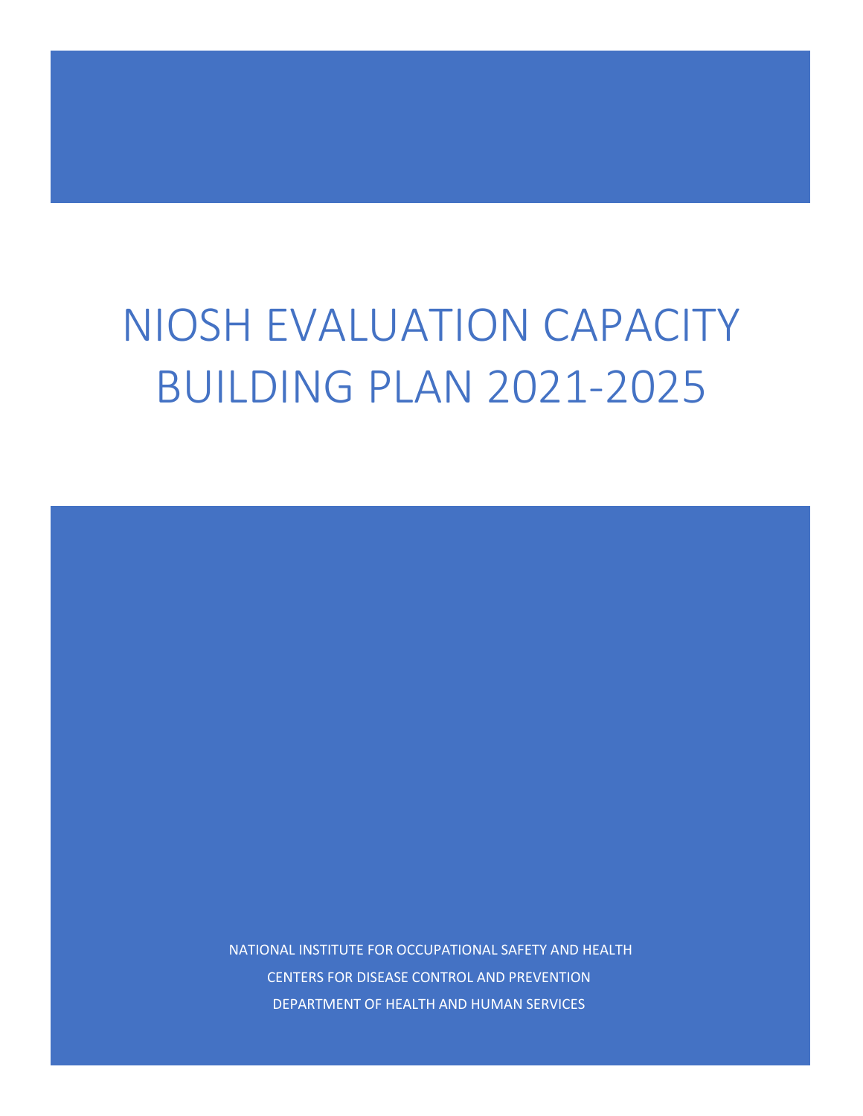# NIOSH EVALUATION CAPACITY BUILDING PLAN 2021-2025

NATIONAL INSTITUTE FOR OCCUPATIONAL SAFETY AND HEALTH CENTERS FOR DISEASE CONTROL AND PREVENTION DEPARTMENT OF HEALTH AND HUMAN SERVICES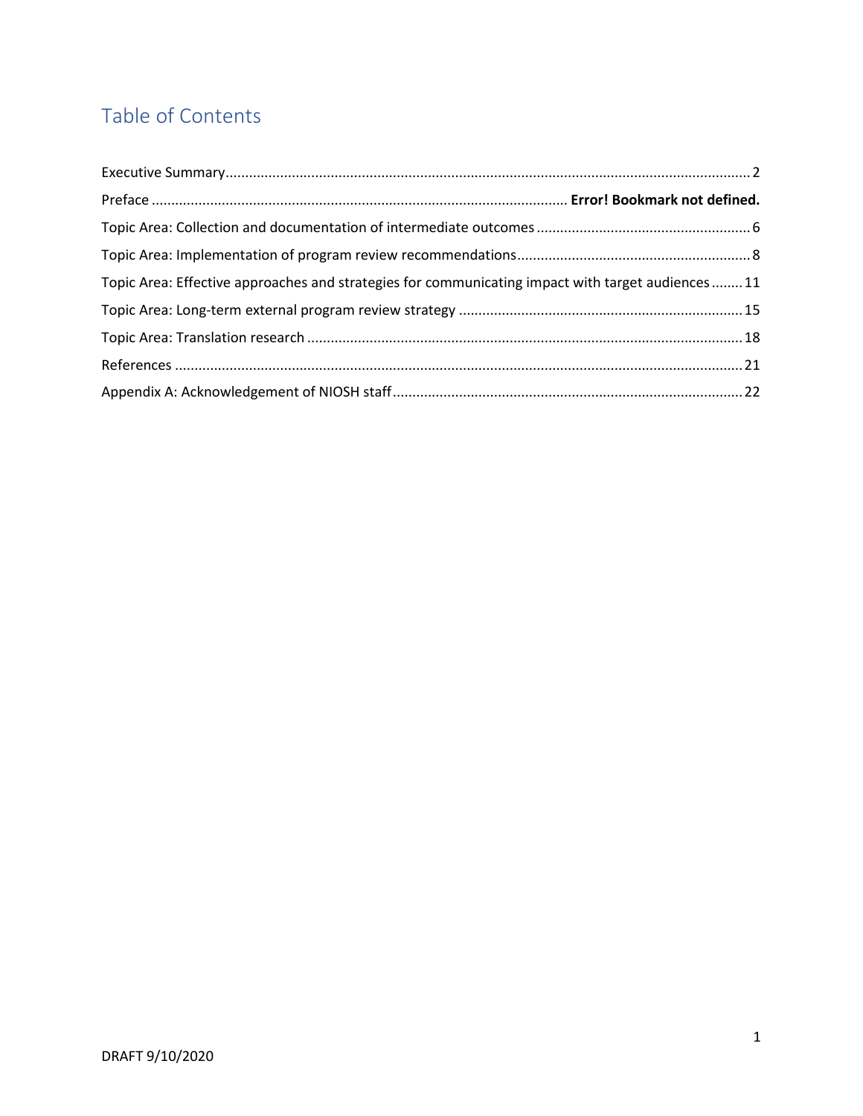# Table of Contents

| Topic Area: Effective approaches and strategies for communicating impact with target audiences 11 |  |
|---------------------------------------------------------------------------------------------------|--|
|                                                                                                   |  |
|                                                                                                   |  |
|                                                                                                   |  |
|                                                                                                   |  |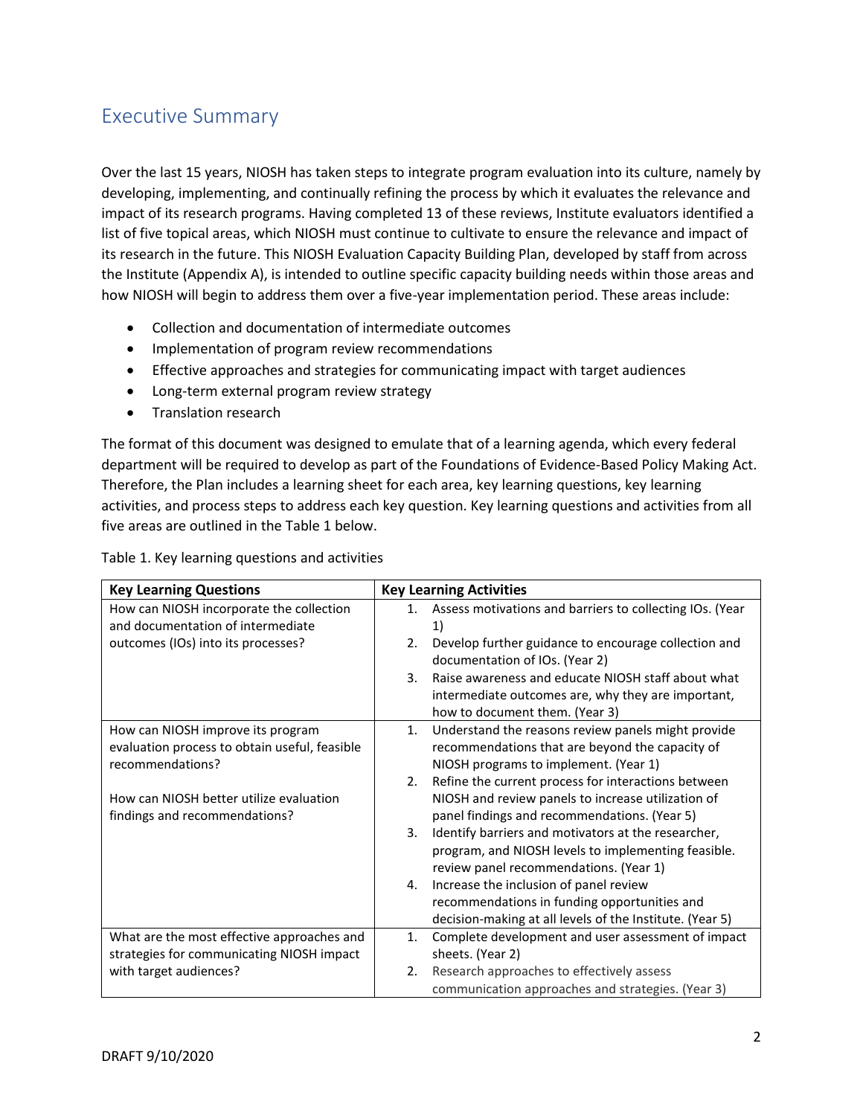## <span id="page-2-0"></span>Executive Summary

Over the last 15 years, NIOSH has taken steps to integrate program evaluation into its culture, namely by developing, implementing, and continually refining the process by which it evaluates the relevance and impact of its research programs. Having completed 13 of these reviews, Institute evaluators identified a list of five topical areas, which NIOSH must continue to cultivate to ensure the relevance and impact of its research in the future. This NIOSH Evaluation Capacity Building Plan, developed by staff from across the Institute (Appendix A), is intended to outline specific capacity building needs within those areas and how NIOSH will begin to address them over a five-year implementation period. These areas include:

- Collection and documentation of intermediate outcomes
- Implementation of program review recommendations
- Effective approaches and strategies for communicating impact with target audiences
- Long-term external program review strategy
- Translation research

The format of this document was designed to emulate that of a learning agenda, which every federal department will be required to develop as part of the Foundations of Evidence-Based Policy Making Act. Therefore, the Plan includes a learning sheet for each area, key learning questions, key learning activities, and process steps to address each key question. Key learning questions and activities from all five areas are outlined in the Table 1 below.

Table 1. Key learning questions and activities

| <b>Key Learning Questions</b>                 | <b>Key Learning Activities</b>                                 |
|-----------------------------------------------|----------------------------------------------------------------|
| How can NIOSH incorporate the collection      | Assess motivations and barriers to collecting IOs. (Year<br>1. |
| and documentation of intermediate             | 1)                                                             |
| outcomes (IOs) into its processes?            | Develop further guidance to encourage collection and<br>2.     |
|                                               | documentation of IOs. (Year 2)                                 |
|                                               | Raise awareness and educate NIOSH staff about what<br>3.       |
|                                               | intermediate outcomes are, why they are important,             |
|                                               | how to document them. (Year 3)                                 |
| How can NIOSH improve its program             | Understand the reasons review panels might provide<br>1.       |
| evaluation process to obtain useful, feasible | recommendations that are beyond the capacity of                |
| recommendations?                              | NIOSH programs to implement. (Year 1)                          |
|                                               | Refine the current process for interactions between<br>2.      |
| How can NIOSH better utilize evaluation       | NIOSH and review panels to increase utilization of             |
| findings and recommendations?                 | panel findings and recommendations. (Year 5)                   |
|                                               | Identify barriers and motivators at the researcher,<br>3.      |
|                                               | program, and NIOSH levels to implementing feasible.            |
|                                               | review panel recommendations. (Year 1)                         |
|                                               | Increase the inclusion of panel review<br>4.                   |
|                                               | recommendations in funding opportunities and                   |
|                                               | decision-making at all levels of the Institute. (Year 5)       |
| What are the most effective approaches and    | Complete development and user assessment of impact<br>1.       |
| strategies for communicating NIOSH impact     | sheets. (Year 2)                                               |
| with target audiences?                        | Research approaches to effectively assess<br>2.                |
|                                               | communication approaches and strategies. (Year 3)              |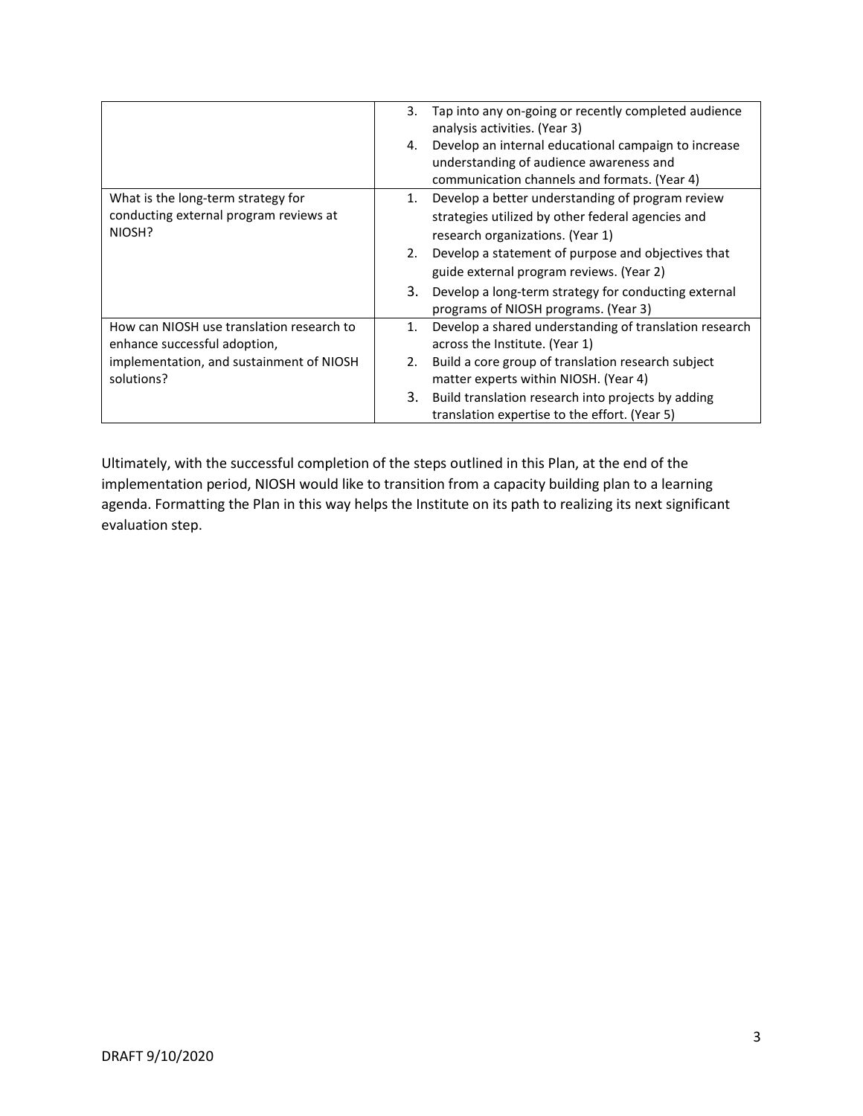|                                                                                        | 3. | Tap into any on-going or recently completed audience<br>analysis activities. (Year 3)                                                           |
|----------------------------------------------------------------------------------------|----|-------------------------------------------------------------------------------------------------------------------------------------------------|
|                                                                                        | 4. | Develop an internal educational campaign to increase<br>understanding of audience awareness and<br>communication channels and formats. (Year 4) |
| What is the long-term strategy for<br>conducting external program reviews at<br>NIOSH? | 1. | Develop a better understanding of program review<br>strategies utilized by other federal agencies and<br>research organizations. (Year 1)       |
|                                                                                        | 2. | Develop a statement of purpose and objectives that                                                                                              |
|                                                                                        |    | guide external program reviews. (Year 2)                                                                                                        |
|                                                                                        | 3. | Develop a long-term strategy for conducting external<br>programs of NIOSH programs. (Year 3)                                                    |
| How can NIOSH use translation research to<br>enhance successful adoption,              | 1. | Develop a shared understanding of translation research<br>across the Institute. (Year 1)                                                        |
| implementation, and sustainment of NIOSH<br>solutions?                                 | 2. | Build a core group of translation research subject<br>matter experts within NIOSH. (Year 4)                                                     |
|                                                                                        | 3. | Build translation research into projects by adding<br>translation expertise to the effort. (Year 5)                                             |

Ultimately, with the successful completion of the steps outlined in this Plan, at the end of the implementation period, NIOSH would like to transition from a capacity building plan to a learning agenda. Formatting the Plan in this way helps the Institute on its path to realizing its next significant evaluation step.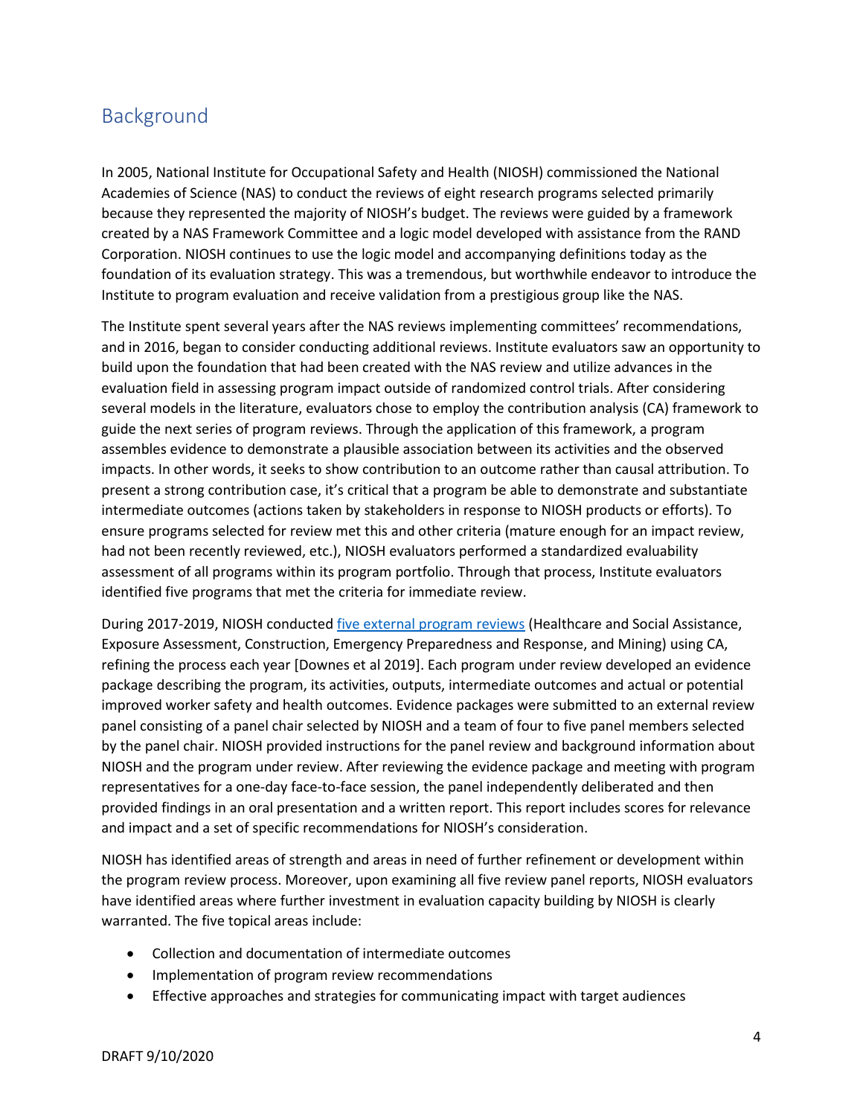#### Background

In 2005, National Institute for Occupational Safety and Health (NIOSH) commissioned the National Academies of Science (NAS) to conduct the reviews of eight research programs selected primarily because they represented the majority of NIOSH's budget. The reviews were guided by a framework created by a NAS Framework Committee and a logic model developed with assistance from the RAND Corporation. NIOSH continues to use the logic model and accompanying definitions today as the foundation of its evaluation strategy. This was a tremendous, but worthwhile endeavor to introduce the Institute to program evaluation and receive validation from a prestigious group like the NAS.

The Institute spent several years after the NAS reviews implementing committees' recommendations, and in 2016, began to consider conducting additional reviews. Institute evaluators saw an opportunity to build upon the foundation that had been created with the NAS review and utilize advances in the evaluation field in assessing program impact outside of randomized control trials. After considering several models in the literature, evaluators chose to employ the contribution analysis (CA) framework to guide the next series of program reviews. Through the application of this framework, a program assembles evidence to demonstrate a plausible association between its activities and the observed impacts. In other words, it seeks to show contribution to an outcome rather than causal attribution. To present a strong contribution case, it's critical that a program be able to demonstrate and substantiate intermediate outcomes (actions taken by stakeholders in response to NIOSH products or efforts). To ensure programs selected for review met this and other criteria (mature enough for an impact review, had not been recently reviewed, etc.), NIOSH evaluators performed a standardized evaluability assessment of all programs within its program portfolio. Through that process, Institute evaluators identified five programs that met the criteria for immediate review.

During 2017-2019, NIOSH conducted [five external program reviews](https://www.cdc.gov/niosh/programs/review/default.html) (Healthcare and Social Assistance, Exposure Assessment, Construction, Emergency Preparedness and Response, and Mining) using CA, refining the process each year [Downes et al 2019]. Each program under review developed an evidence package describing the program, its activities, outputs, intermediate outcomes and actual or potential improved worker safety and health outcomes. Evidence packages were submitted to an external review panel consisting of a panel chair selected by NIOSH and a team of four to five panel members selected by the panel chair. NIOSH provided instructions for the panel review and background information about NIOSH and the program under review. After reviewing the evidence package and meeting with program representatives for a one-day face-to-face session, the panel independently deliberated and then provided findings in an oral presentation and a written report. This report includes scores for relevance and impact and a set of specific recommendations for NIOSH's consideration.

NIOSH has identified areas of strength and areas in need of further refinement or development within the program review process. Moreover, upon examining all five review panel reports, NIOSH evaluators have identified areas where further investment in evaluation capacity building by NIOSH is clearly warranted. The five topical areas include:

- Collection and documentation of intermediate outcomes
- Implementation of program review recommendations
- Effective approaches and strategies for communicating impact with target audiences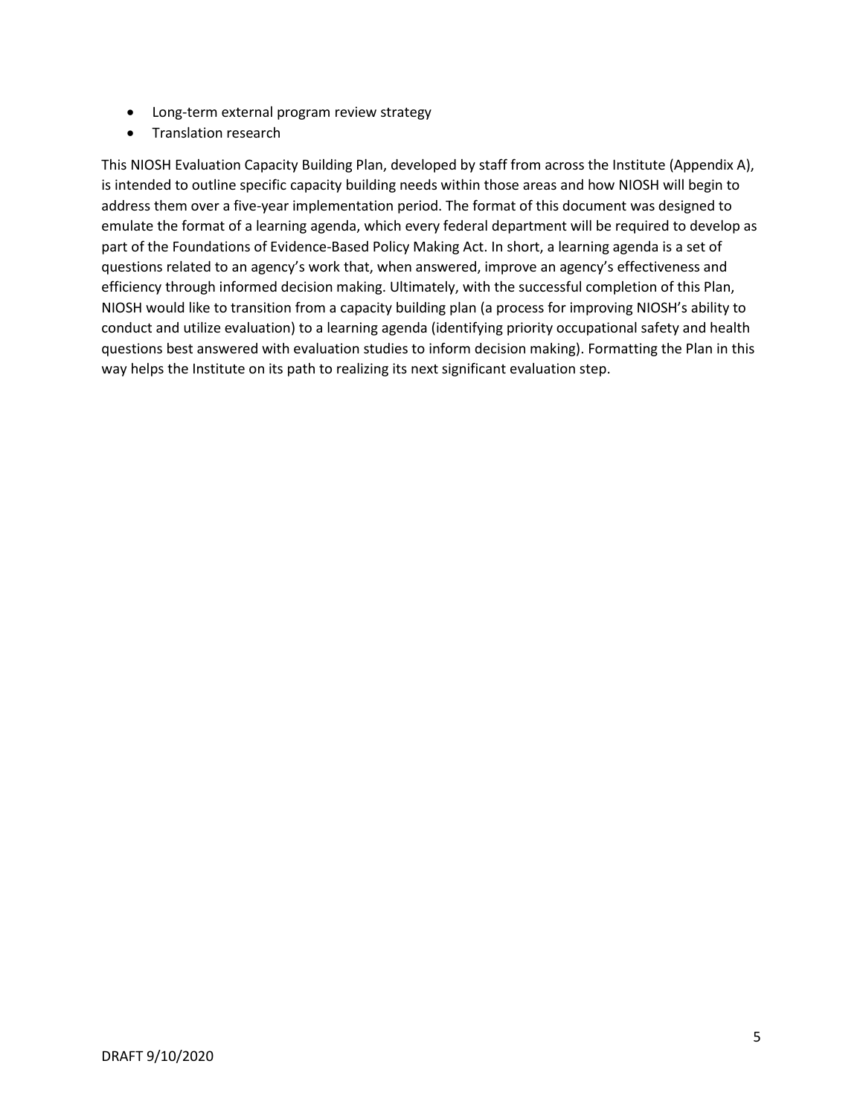- Long-term external program review strategy
- Translation research

This NIOSH Evaluation Capacity Building Plan, developed by staff from across the Institute (Appendix A), is intended to outline specific capacity building needs within those areas and how NIOSH will begin to address them over a five-year implementation period. The format of this document was designed to emulate the format of a learning agenda, which every federal department will be required to develop as part of the Foundations of Evidence-Based Policy Making Act. In short, a learning agenda is a set of questions related to an agency's work that, when answered, improve an agency's effectiveness and efficiency through informed decision making. Ultimately, with the successful completion of this Plan, NIOSH would like to transition from a capacity building plan (a process for improving NIOSH's ability to conduct and utilize evaluation) to a learning agenda (identifying priority occupational safety and health questions best answered with evaluation studies to inform decision making). Formatting the Plan in this way helps the Institute on its path to realizing its next significant evaluation step.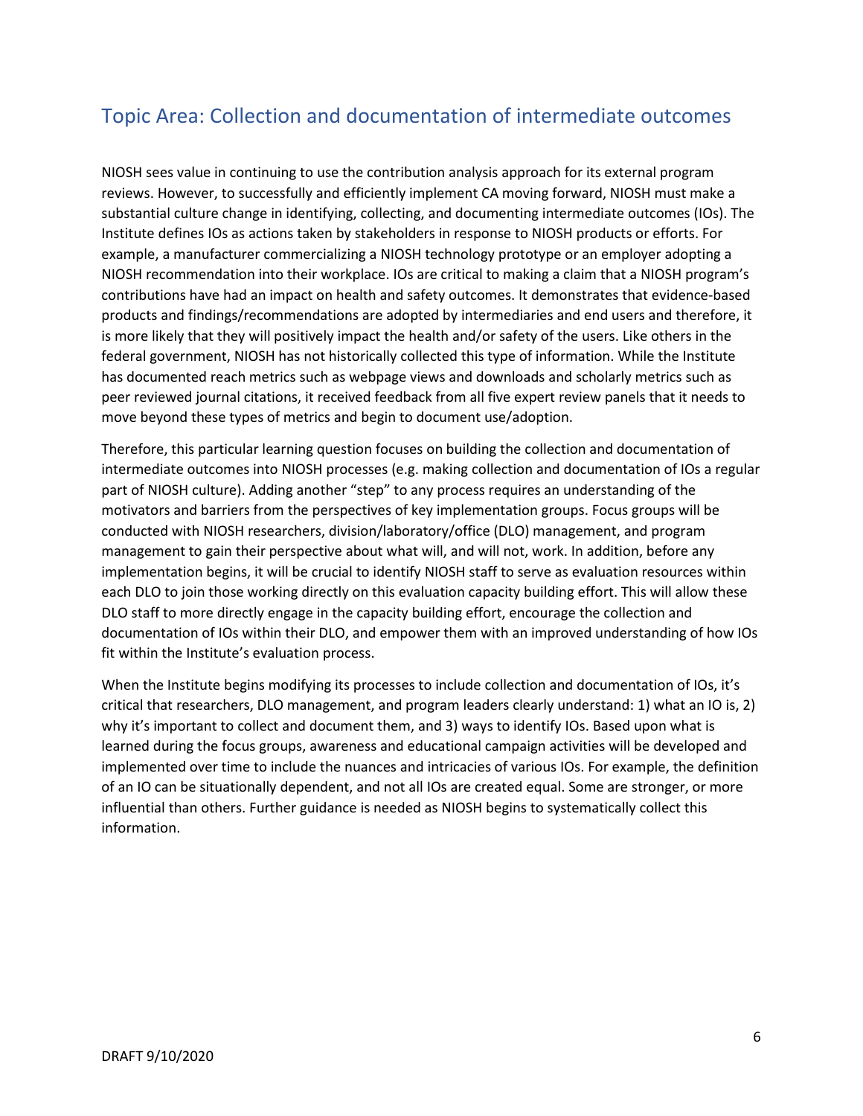## <span id="page-6-0"></span>Topic Area: Collection and documentation of intermediate outcomes

NIOSH sees value in continuing to use the contribution analysis approach for its external program reviews. However, to successfully and efficiently implement CA moving forward, NIOSH must make a substantial culture change in identifying, collecting, and documenting intermediate outcomes (IOs). The Institute defines IOs as actions taken by stakeholders in response to NIOSH products or efforts. For example, a manufacturer commercializing a NIOSH technology prototype or an employer adopting a NIOSH recommendation into their workplace. IOs are critical to making a claim that a NIOSH program's contributions have had an impact on health and safety outcomes. It demonstrates that evidence-based products and findings/recommendations are adopted by intermediaries and end users and therefore, it is more likely that they will positively impact the health and/or safety of the users. Like others in the federal government, NIOSH has not historically collected this type of information. While the Institute has documented reach metrics such as webpage views and downloads and scholarly metrics such as peer reviewed journal citations, it received feedback from all five expert review panels that it needs to move beyond these types of metrics and begin to document use/adoption.

Therefore, this particular learning question focuses on building the collection and documentation of intermediate outcomes into NIOSH processes (e.g. making collection and documentation of IOs a regular part of NIOSH culture). Adding another "step" to any process requires an understanding of the motivators and barriers from the perspectives of key implementation groups. Focus groups will be conducted with NIOSH researchers, division/laboratory/office (DLO) management, and program management to gain their perspective about what will, and will not, work. In addition, before any implementation begins, it will be crucial to identify NIOSH staff to serve as evaluation resources within each DLO to join those working directly on this evaluation capacity building effort. This will allow these DLO staff to more directly engage in the capacity building effort, encourage the collection and documentation of IOs within their DLO, and empower them with an improved understanding of how IOs fit within the Institute's evaluation process.

When the Institute begins modifying its processes to include collection and documentation of IOs, it's critical that researchers, DLO management, and program leaders clearly understand: 1) what an IO is, 2) why it's important to collect and document them, and 3) ways to identify IOs. Based upon what is learned during the focus groups, awareness and educational campaign activities will be developed and implemented over time to include the nuances and intricacies of various IOs. For example, the definition of an IO can be situationally dependent, and not all IOs are created equal. Some are stronger, or more influential than others. Further guidance is needed as NIOSH begins to systematically collect this information.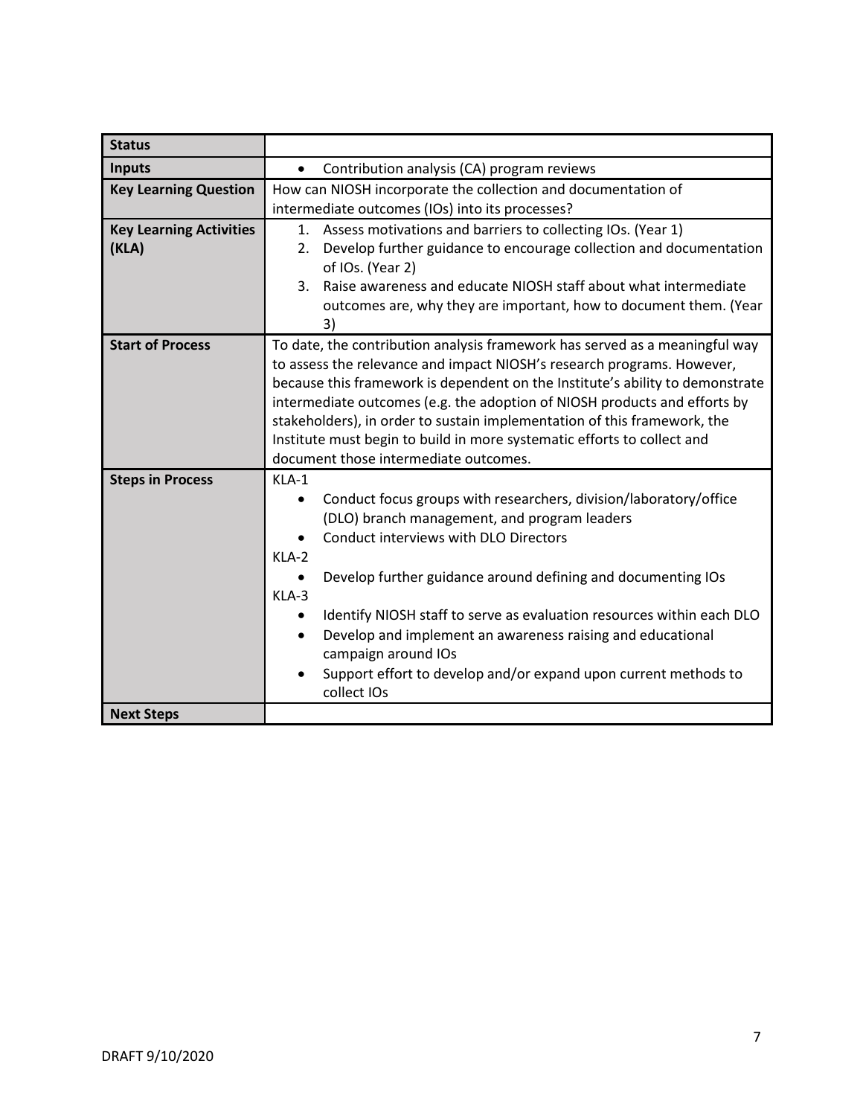| <b>Status</b>                                |                                                                                                                                                                                                                                                                                                                                                                                                                                                                                                                     |
|----------------------------------------------|---------------------------------------------------------------------------------------------------------------------------------------------------------------------------------------------------------------------------------------------------------------------------------------------------------------------------------------------------------------------------------------------------------------------------------------------------------------------------------------------------------------------|
| <b>Inputs</b>                                | Contribution analysis (CA) program reviews                                                                                                                                                                                                                                                                                                                                                                                                                                                                          |
| <b>Key Learning Question</b>                 | How can NIOSH incorporate the collection and documentation of<br>intermediate outcomes (IOs) into its processes?                                                                                                                                                                                                                                                                                                                                                                                                    |
| <b>Key Learning Activities</b><br>(KLA)      | 1. Assess motivations and barriers to collecting IOs. (Year 1)<br>Develop further guidance to encourage collection and documentation<br>2.<br>of IOs. (Year 2)<br>Raise awareness and educate NIOSH staff about what intermediate<br>3.<br>outcomes are, why they are important, how to document them. (Year<br>3)                                                                                                                                                                                                  |
| <b>Start of Process</b>                      | To date, the contribution analysis framework has served as a meaningful way<br>to assess the relevance and impact NIOSH's research programs. However,<br>because this framework is dependent on the Institute's ability to demonstrate<br>intermediate outcomes (e.g. the adoption of NIOSH products and efforts by<br>stakeholders), in order to sustain implementation of this framework, the<br>Institute must begin to build in more systematic efforts to collect and<br>document those intermediate outcomes. |
| <b>Steps in Process</b><br><b>Next Steps</b> | KLA-1<br>Conduct focus groups with researchers, division/laboratory/office<br>(DLO) branch management, and program leaders<br>Conduct interviews with DLO Directors<br>KLA-2<br>Develop further guidance around defining and documenting IOs<br>KLA-3<br>Identify NIOSH staff to serve as evaluation resources within each DLO<br>Develop and implement an awareness raising and educational<br>$\bullet$<br>campaign around IOs<br>Support effort to develop and/or expand upon current methods to<br>collect IOs  |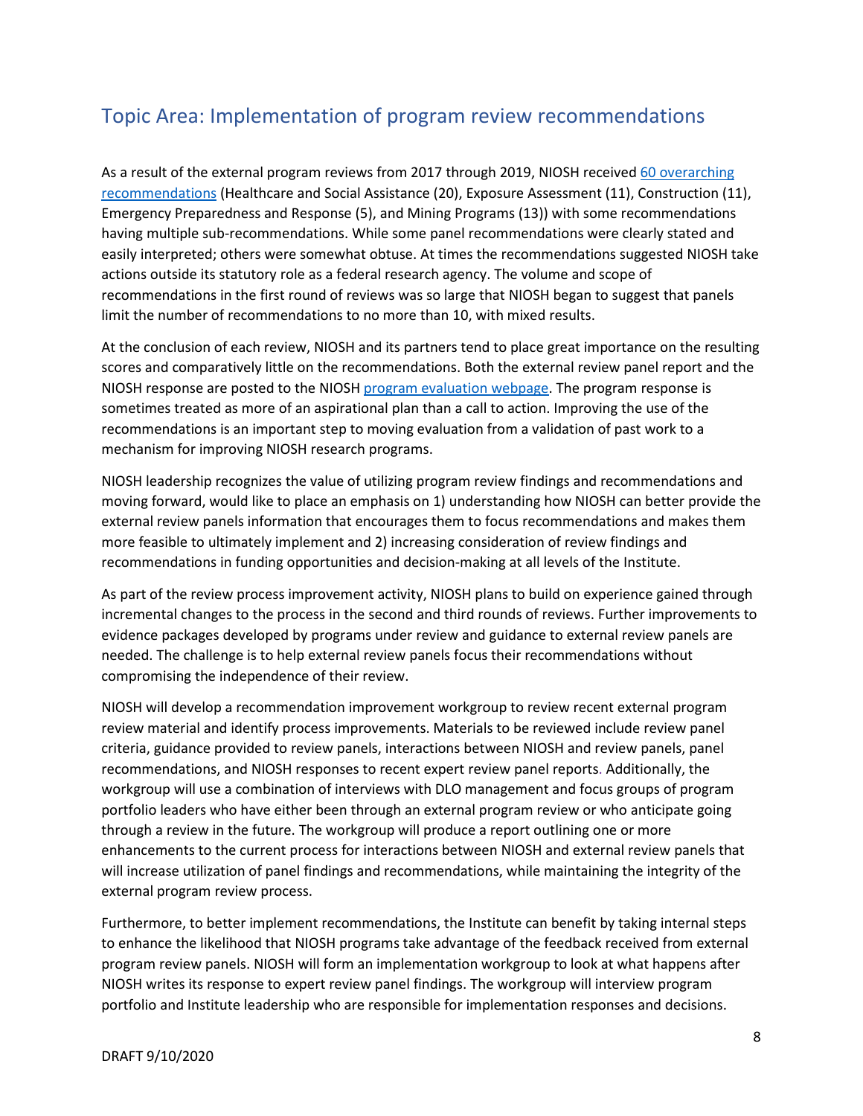## <span id="page-8-0"></span>Topic Area: Implementation of program review recommendations

As a result of the external program reviews from 2017 through 2019, NIOSH receive[d 60 overarching](https://www.cdc.gov/niosh/programs/review/default.html)  [recommendations](https://www.cdc.gov/niosh/programs/review/default.html) (Healthcare and Social Assistance (20), Exposure Assessment (11), Construction (11), Emergency Preparedness and Response (5), and Mining Programs (13)) with some recommendations having multiple sub-recommendations. While some panel recommendations were clearly stated and easily interpreted; others were somewhat obtuse. At times the recommendations suggested NIOSH take actions outside its statutory role as a federal research agency. The volume and scope of recommendations in the first round of reviews was so large that NIOSH began to suggest that panels limit the number of recommendations to no more than 10, with mixed results.

At the conclusion of each review, NIOSH and its partners tend to place great importance on the resulting scores and comparatively little on the recommendations. Both the external review panel report and the NIOSH response are posted to the NIOSH [program evaluation webpage.](https://www.cdc.gov/niosh/programs/review/default.html) The program response is sometimes treated as more of an aspirational plan than a call to action. Improving the use of the recommendations is an important step to moving evaluation from a validation of past work to a mechanism for improving NIOSH research programs.

NIOSH leadership recognizes the value of utilizing program review findings and recommendations and moving forward, would like to place an emphasis on 1) understanding how NIOSH can better provide the external review panels information that encourages them to focus recommendations and makes them more feasible to ultimately implement and 2) increasing consideration of review findings and recommendations in funding opportunities and decision-making at all levels of the Institute.

As part of the review process improvement activity, NIOSH plans to build on experience gained through incremental changes to the process in the second and third rounds of reviews. Further improvements to evidence packages developed by programs under review and guidance to external review panels are needed. The challenge is to help external review panels focus their recommendations without compromising the independence of their review.

NIOSH will develop a recommendation improvement workgroup to review recent external program review material and identify process improvements. Materials to be reviewed include review panel criteria, guidance provided to review panels, interactions between NIOSH and review panels, panel recommendations, and NIOSH responses to recent expert review panel reports. Additionally, the workgroup will use a combination of interviews with DLO management and focus groups of program portfolio leaders who have either been through an external program review or who anticipate going through a review in the future. The workgroup will produce a report outlining one or more enhancements to the current process for interactions between NIOSH and external review panels that will increase utilization of panel findings and recommendations, while maintaining the integrity of the external program review process.

Furthermore, to better implement recommendations, the Institute can benefit by taking internal steps to enhance the likelihood that NIOSH programs take advantage of the feedback received from external program review panels. NIOSH will form an implementation workgroup to look at what happens after NIOSH writes its response to expert review panel findings. The workgroup will interview program portfolio and Institute leadership who are responsible for implementation responses and decisions.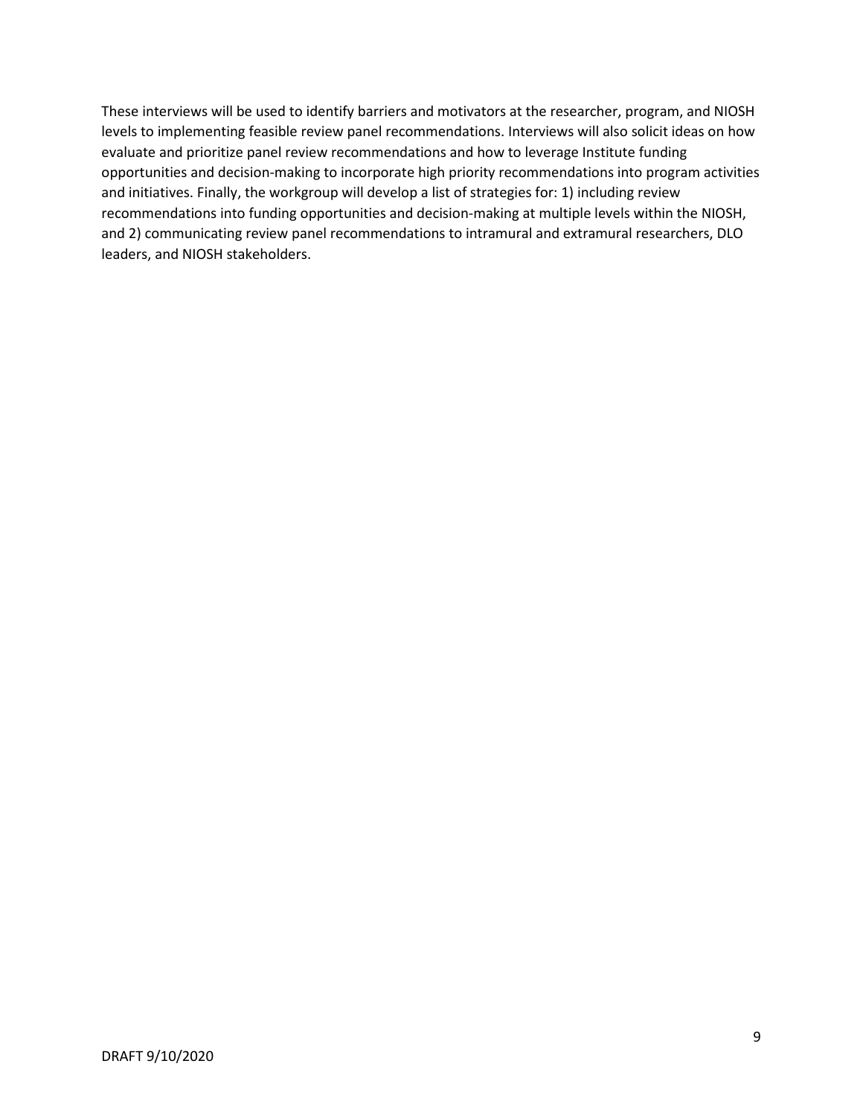These interviews will be used to identify barriers and motivators at the researcher, program, and NIOSH levels to implementing feasible review panel recommendations. Interviews will also solicit ideas on how evaluate and prioritize panel review recommendations and how to leverage Institute funding opportunities and decision-making to incorporate high priority recommendations into program activities and initiatives. Finally, the workgroup will develop a list of strategies for: 1) including review recommendations into funding opportunities and decision-making at multiple levels within the NIOSH, and 2) communicating review panel recommendations to intramural and extramural researchers, DLO leaders, and NIOSH stakeholders.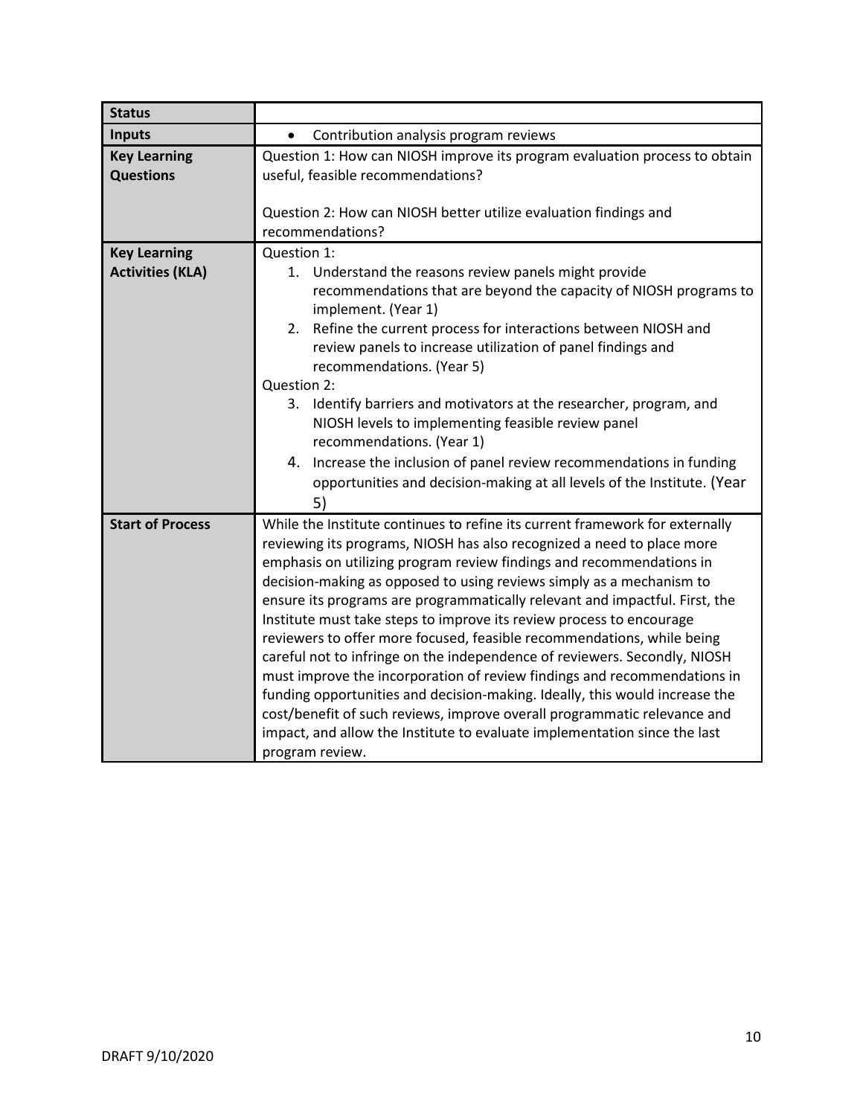| <b>Status</b>                                  |                                                                                                                                                                                                                                                                                                                                                                                                                                                                                                                                                                                                                                                                                                                                                                                                                                                                                                                                                             |
|------------------------------------------------|-------------------------------------------------------------------------------------------------------------------------------------------------------------------------------------------------------------------------------------------------------------------------------------------------------------------------------------------------------------------------------------------------------------------------------------------------------------------------------------------------------------------------------------------------------------------------------------------------------------------------------------------------------------------------------------------------------------------------------------------------------------------------------------------------------------------------------------------------------------------------------------------------------------------------------------------------------------|
| <b>Inputs</b>                                  | Contribution analysis program reviews<br>$\bullet$                                                                                                                                                                                                                                                                                                                                                                                                                                                                                                                                                                                                                                                                                                                                                                                                                                                                                                          |
| <b>Key Learning</b><br><b>Questions</b>        | Question 1: How can NIOSH improve its program evaluation process to obtain<br>useful, feasible recommendations?<br>Question 2: How can NIOSH better utilize evaluation findings and<br>recommendations?                                                                                                                                                                                                                                                                                                                                                                                                                                                                                                                                                                                                                                                                                                                                                     |
| <b>Key Learning</b><br><b>Activities (KLA)</b> | Question 1:<br>1. Understand the reasons review panels might provide<br>recommendations that are beyond the capacity of NIOSH programs to<br>implement. (Year 1)<br>Refine the current process for interactions between NIOSH and<br>2.<br>review panels to increase utilization of panel findings and<br>recommendations. (Year 5)<br>Question 2:<br>3. Identify barriers and motivators at the researcher, program, and<br>NIOSH levels to implementing feasible review panel<br>recommendations. (Year 1)<br>4. Increase the inclusion of panel review recommendations in funding<br>opportunities and decision-making at all levels of the Institute. (Year<br>5)                                                                                                                                                                                                                                                                                       |
| <b>Start of Process</b>                        | While the Institute continues to refine its current framework for externally<br>reviewing its programs, NIOSH has also recognized a need to place more<br>emphasis on utilizing program review findings and recommendations in<br>decision-making as opposed to using reviews simply as a mechanism to<br>ensure its programs are programmatically relevant and impactful. First, the<br>Institute must take steps to improve its review process to encourage<br>reviewers to offer more focused, feasible recommendations, while being<br>careful not to infringe on the independence of reviewers. Secondly, NIOSH<br>must improve the incorporation of review findings and recommendations in<br>funding opportunities and decision-making. Ideally, this would increase the<br>cost/benefit of such reviews, improve overall programmatic relevance and<br>impact, and allow the Institute to evaluate implementation since the last<br>program review. |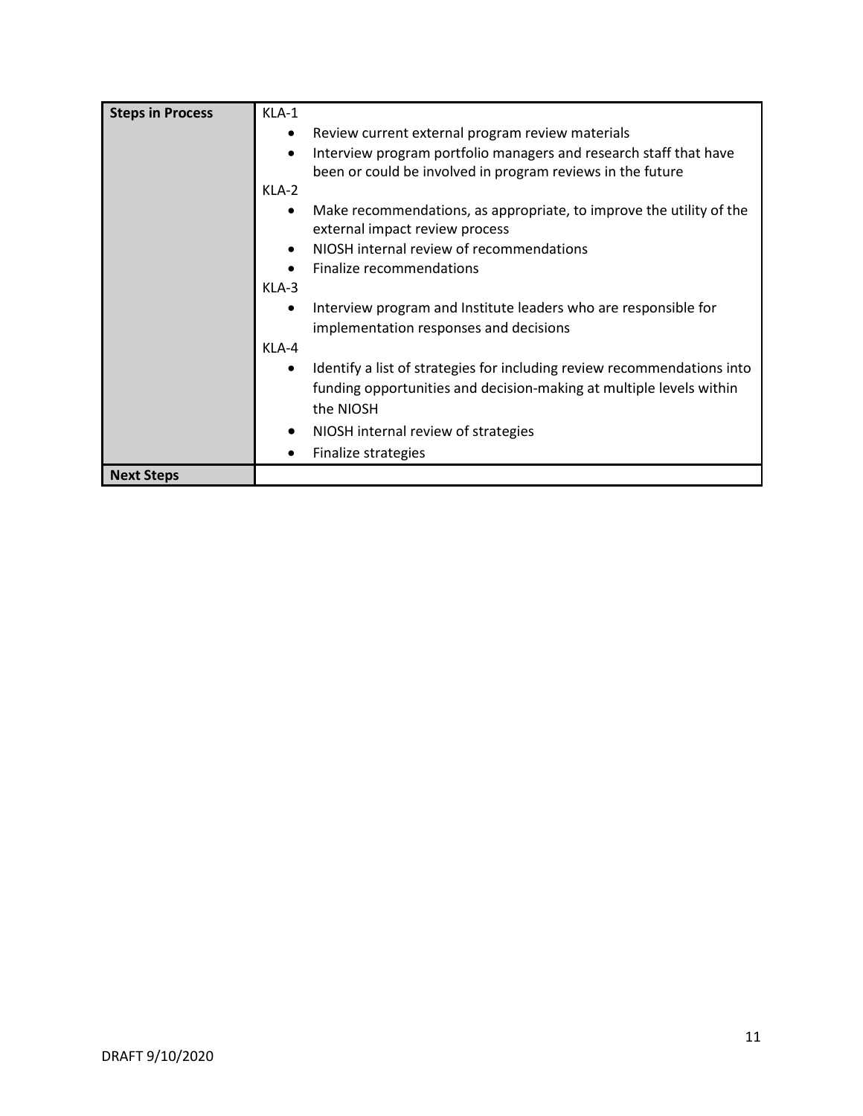<span id="page-11-0"></span>

| <b>Steps in Process</b> | KLA-1                                                                                                                                        |
|-------------------------|----------------------------------------------------------------------------------------------------------------------------------------------|
|                         | Review current external program review materials<br>$\bullet$                                                                                |
|                         | Interview program portfolio managers and research staff that have<br>$\bullet$<br>been or could be involved in program reviews in the future |
|                         | KLA-2                                                                                                                                        |
|                         | Make recommendations, as appropriate, to improve the utility of the<br>٠<br>external impact review process                                   |
|                         | NIOSH internal review of recommendations<br>$\bullet$                                                                                        |
|                         | Finalize recommendations<br>$\bullet$                                                                                                        |
|                         | $KLA-3$                                                                                                                                      |
|                         | Interview program and Institute leaders who are responsible for<br>٠                                                                         |
|                         | implementation responses and decisions                                                                                                       |
|                         | KLA-4                                                                                                                                        |
|                         | Identify a list of strategies for including review recommendations into<br>$\bullet$                                                         |
|                         | funding opportunities and decision-making at multiple levels within<br>the NIOSH                                                             |
|                         | NIOSH internal review of strategies<br>$\bullet$                                                                                             |
|                         | Finalize strategies                                                                                                                          |
| <b>Next Steps</b>       |                                                                                                                                              |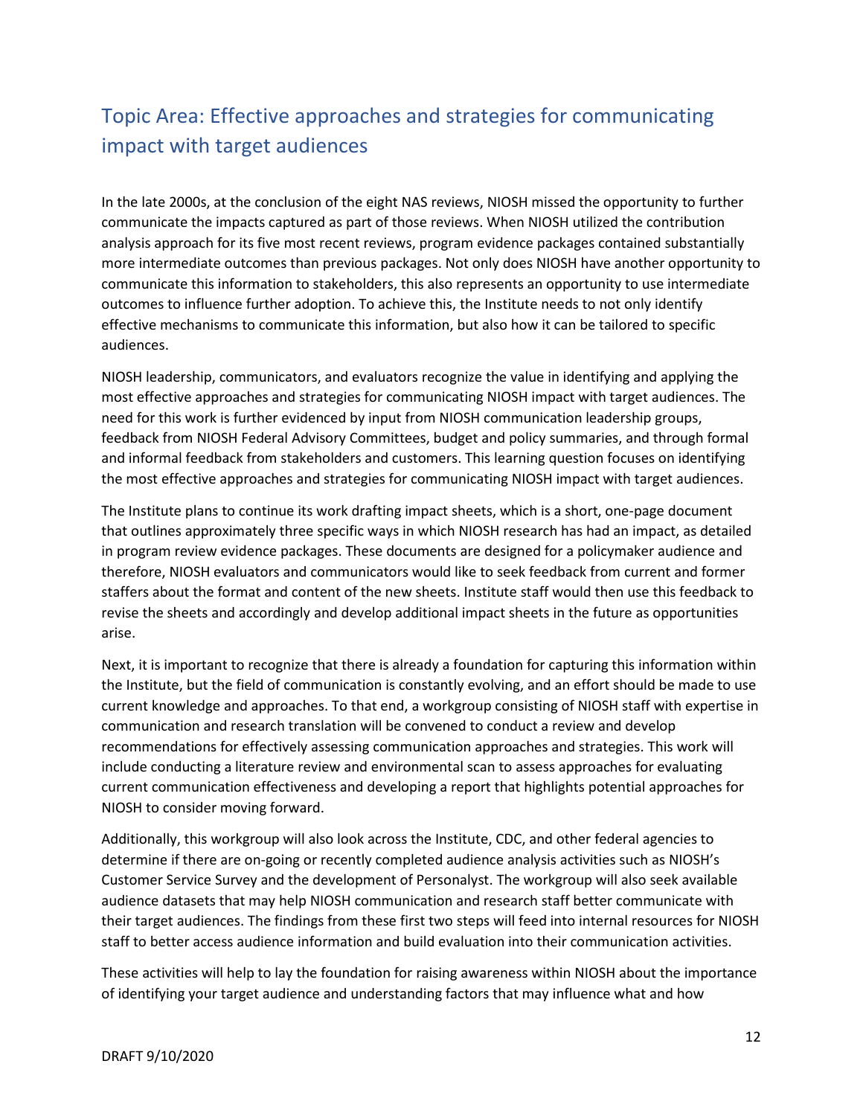# Topic Area: Effective approaches and strategies for communicating impact with target audiences

In the late 2000s, at the conclusion of the eight NAS reviews, NIOSH missed the opportunity to further communicate the impacts captured as part of those reviews. When NIOSH utilized the contribution analysis approach for its five most recent reviews, program evidence packages contained substantially more intermediate outcomes than previous packages. Not only does NIOSH have another opportunity to communicate this information to stakeholders, this also represents an opportunity to use intermediate outcomes to influence further adoption. To achieve this, the Institute needs to not only identify effective mechanisms to communicate this information, but also how it can be tailored to specific audiences.

NIOSH leadership, communicators, and evaluators recognize the value in identifying and applying the most effective approaches and strategies for communicating NIOSH impact with target audiences. The need for this work is further evidenced by input from NIOSH communication leadership groups, feedback from NIOSH Federal Advisory Committees, budget and policy summaries, and through formal and informal feedback from stakeholders and customers. This learning question focuses on identifying the most effective approaches and strategies for communicating NIOSH impact with target audiences.

The Institute plans to continue its work drafting impact sheets, which is a short, one-page document that outlines approximately three specific ways in which NIOSH research has had an impact, as detailed in program review evidence packages. These documents are designed for a policymaker audience and therefore, NIOSH evaluators and communicators would like to seek feedback from current and former staffers about the format and content of the new sheets. Institute staff would then use this feedback to revise the sheets and accordingly and develop additional impact sheets in the future as opportunities arise.

Next, it is important to recognize that there is already a foundation for capturing this information within the Institute, but the field of communication is constantly evolving, and an effort should be made to use current knowledge and approaches. To that end, a workgroup consisting of NIOSH staff with expertise in communication and research translation will be convened to conduct a review and develop recommendations for effectively assessing communication approaches and strategies. This work will include conducting a literature review and environmental scan to assess approaches for evaluating current communication effectiveness and developing a report that highlights potential approaches for NIOSH to consider moving forward.

Additionally, this workgroup will also look across the Institute, CDC, and other federal agencies to determine if there are on-going or recently completed audience analysis activities such as NIOSH's Customer Service Survey and the development of Personalyst. The workgroup will also seek available audience datasets that may help NIOSH communication and research staff better communicate with their target audiences. The findings from these first two steps will feed into internal resources for NIOSH staff to better access audience information and build evaluation into their communication activities.

These activities will help to lay the foundation for raising awareness within NIOSH about the importance of identifying your target audience and understanding factors that may influence what and how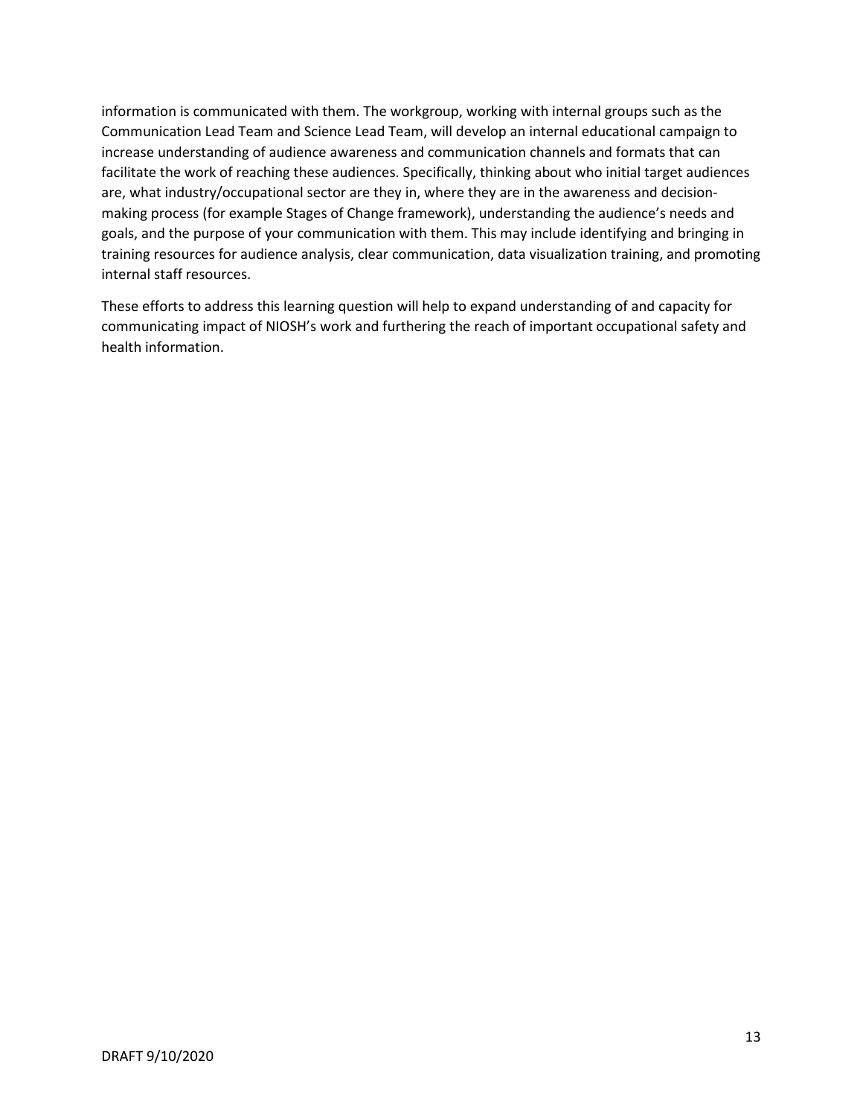information is communicated with them. The workgroup, working with internal groups such as the Communication Lead Team and Science Lead Team, will develop an internal educational campaign to increase understanding of audience awareness and communication channels and formats that can facilitate the work of reaching these audiences. Specifically, thinking about who initial target audiences are, what industry/occupational sector are they in, where they are in the awareness and decisionmaking process (for example Stages of Change framework), understanding the audience's needs and goals, and the purpose of your communication with them. This may include identifying and bringing in training resources for audience analysis, clear communication, data visualization training, and promoting internal staff resources.

These efforts to address this learning question will help to expand understanding of and capacity for communicating impact of NIOSH's work and furthering the reach of important occupational safety and health information.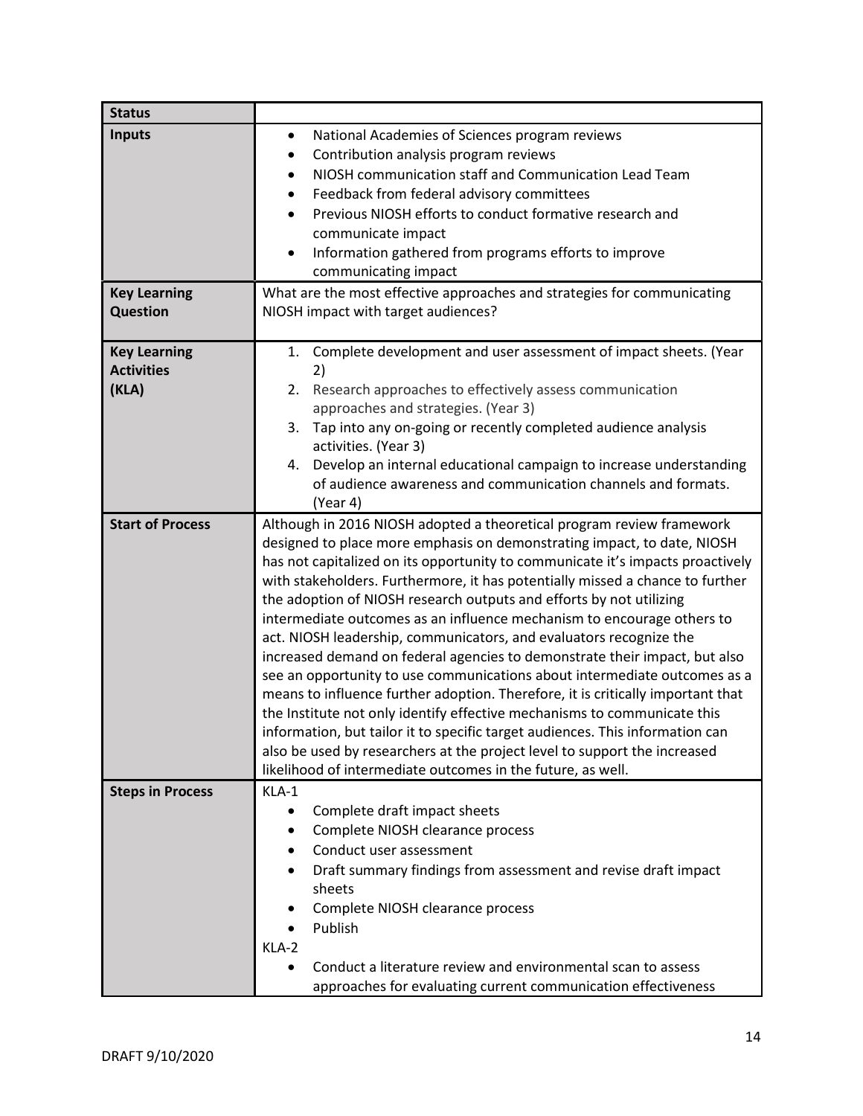| <b>Status</b>           |                                                                                                                                                                 |
|-------------------------|-----------------------------------------------------------------------------------------------------------------------------------------------------------------|
| <b>Inputs</b>           | National Academies of Sciences program reviews<br>$\bullet$                                                                                                     |
|                         | Contribution analysis program reviews                                                                                                                           |
|                         | NIOSH communication staff and Communication Lead Team                                                                                                           |
|                         | Feedback from federal advisory committees<br>$\bullet$                                                                                                          |
|                         | Previous NIOSH efforts to conduct formative research and                                                                                                        |
|                         | communicate impact                                                                                                                                              |
|                         | Information gathered from programs efforts to improve                                                                                                           |
|                         | communicating impact                                                                                                                                            |
| <b>Key Learning</b>     | What are the most effective approaches and strategies for communicating                                                                                         |
| <b>Question</b>         | NIOSH impact with target audiences?                                                                                                                             |
|                         |                                                                                                                                                                 |
| <b>Key Learning</b>     | 1. Complete development and user assessment of impact sheets. (Year                                                                                             |
| <b>Activities</b>       | 2)                                                                                                                                                              |
| (KLA)                   | 2. Research approaches to effectively assess communication                                                                                                      |
|                         | approaches and strategies. (Year 3)                                                                                                                             |
|                         | Tap into any on-going or recently completed audience analysis<br>3.                                                                                             |
|                         | activities. (Year 3)                                                                                                                                            |
|                         | Develop an internal educational campaign to increase understanding<br>4.                                                                                        |
|                         | of audience awareness and communication channels and formats.                                                                                                   |
|                         | (Year 4)                                                                                                                                                        |
| <b>Start of Process</b> | Although in 2016 NIOSH adopted a theoretical program review framework                                                                                           |
|                         | designed to place more emphasis on demonstrating impact, to date, NIOSH                                                                                         |
|                         | has not capitalized on its opportunity to communicate it's impacts proactively<br>with stakeholders. Furthermore, it has potentially missed a chance to further |
|                         | the adoption of NIOSH research outputs and efforts by not utilizing                                                                                             |
|                         | intermediate outcomes as an influence mechanism to encourage others to                                                                                          |
|                         | act. NIOSH leadership, communicators, and evaluators recognize the                                                                                              |
|                         | increased demand on federal agencies to demonstrate their impact, but also                                                                                      |
|                         | see an opportunity to use communications about intermediate outcomes as a                                                                                       |
|                         | means to influence further adoption. Therefore, it is critically important that                                                                                 |
|                         | the Institute not only identify effective mechanisms to communicate this                                                                                        |
|                         | information, but tailor it to specific target audiences. This information can                                                                                   |
|                         | also be used by researchers at the project level to support the increased                                                                                       |
|                         | likelihood of intermediate outcomes in the future, as well.                                                                                                     |
| <b>Steps in Process</b> | KLA-1                                                                                                                                                           |
|                         | Complete draft impact sheets                                                                                                                                    |
|                         | Complete NIOSH clearance process                                                                                                                                |
|                         | Conduct user assessment                                                                                                                                         |
|                         | Draft summary findings from assessment and revise draft impact                                                                                                  |
|                         | sheets                                                                                                                                                          |
|                         | Complete NIOSH clearance process                                                                                                                                |
|                         | Publish                                                                                                                                                         |
|                         | KLA-2                                                                                                                                                           |
|                         | Conduct a literature review and environmental scan to assess                                                                                                    |
|                         | approaches for evaluating current communication effectiveness                                                                                                   |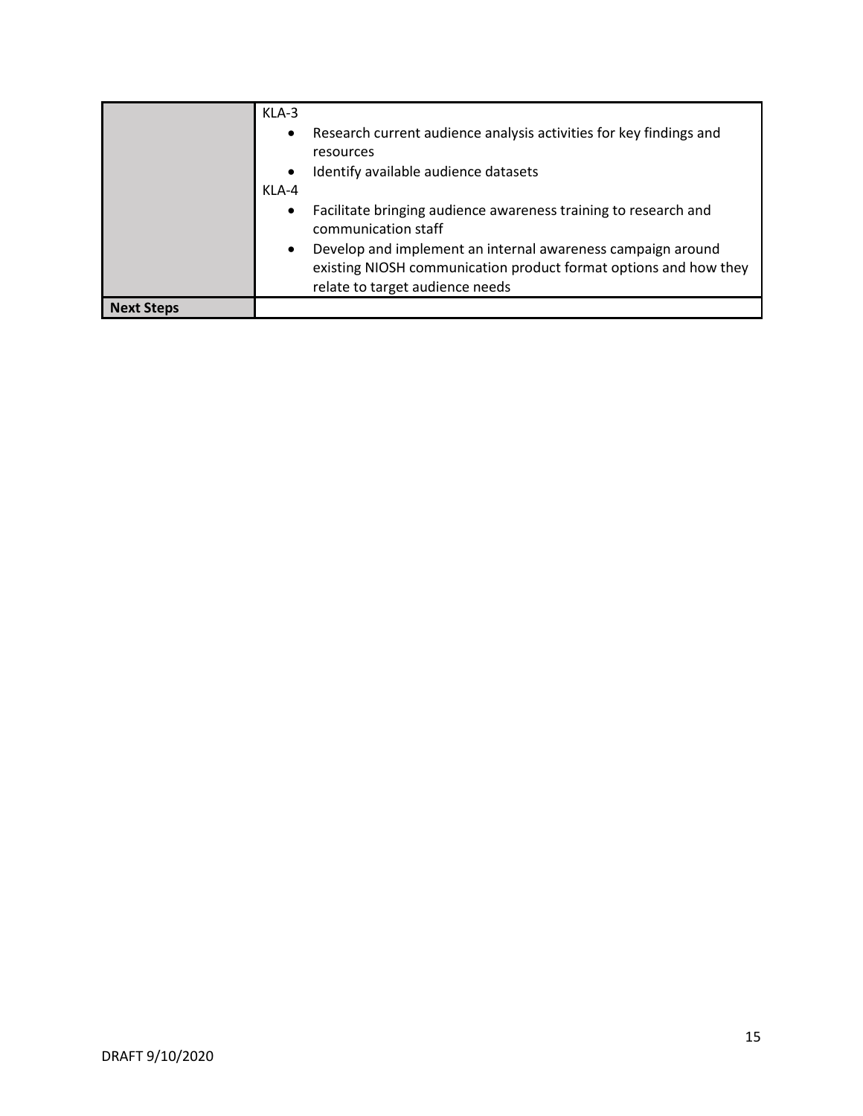<span id="page-15-0"></span>

|                   | $KLA-3$<br>Research current audience analysis activities for key findings and<br>$\bullet$<br>resources<br>Identify available audience datasets<br>$\bullet$<br>KLA-4           |
|-------------------|---------------------------------------------------------------------------------------------------------------------------------------------------------------------------------|
|                   | Facilitate bringing audience awareness training to research and<br>$\bullet$<br>communication staff                                                                             |
|                   | Develop and implement an internal awareness campaign around<br>$\bullet$<br>existing NIOSH communication product format options and how they<br>relate to target audience needs |
| <b>Next Steps</b> |                                                                                                                                                                                 |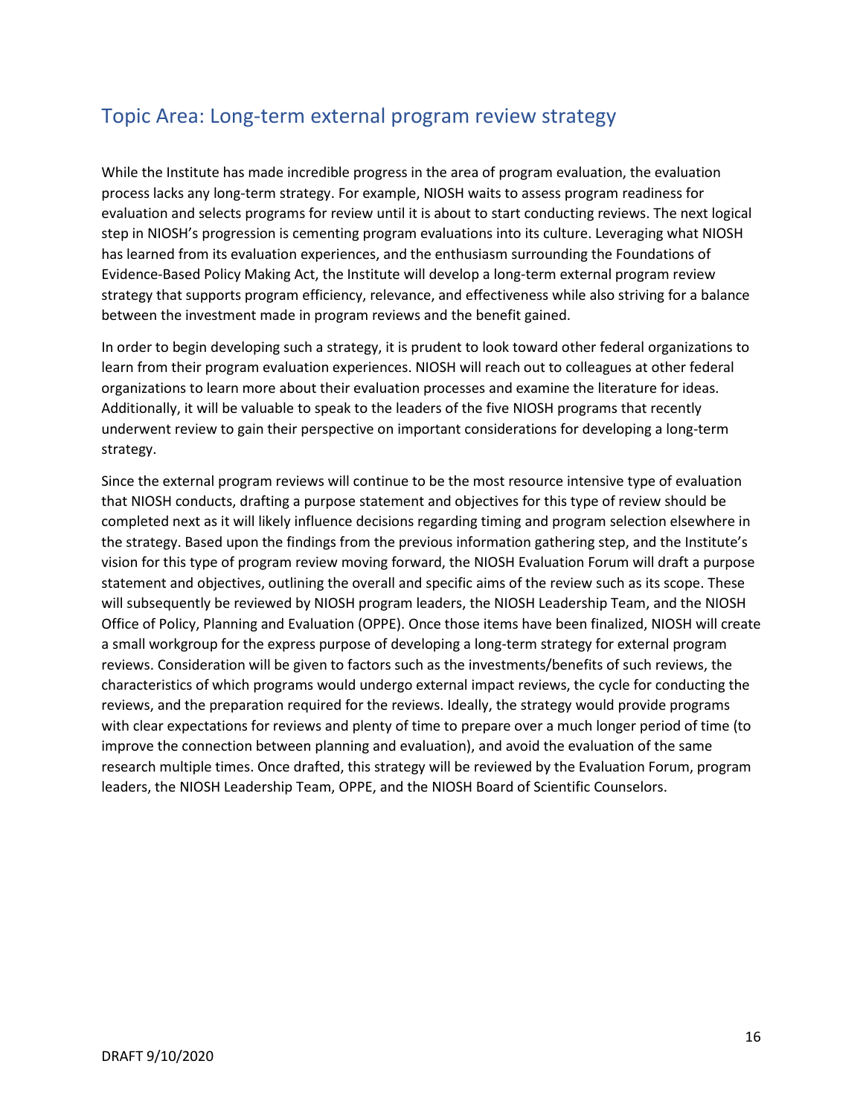#### Topic Area: Long-term external program review strategy

While the Institute has made incredible progress in the area of program evaluation, the evaluation process lacks any long-term strategy. For example, NIOSH waits to assess program readiness for evaluation and selects programs for review until it is about to start conducting reviews. The next logical step in NIOSH's progression is cementing program evaluations into its culture. Leveraging what NIOSH has learned from its evaluation experiences, and the enthusiasm surrounding the Foundations of Evidence-Based Policy Making Act, the Institute will develop a long-term external program review strategy that supports program efficiency, relevance, and effectiveness while also striving for a balance between the investment made in program reviews and the benefit gained.

In order to begin developing such a strategy, it is prudent to look toward other federal organizations to learn from their program evaluation experiences. NIOSH will reach out to colleagues at other federal organizations to learn more about their evaluation processes and examine the literature for ideas. Additionally, it will be valuable to speak to the leaders of the five NIOSH programs that recently underwent review to gain their perspective on important considerations for developing a long-term strategy.

Since the external program reviews will continue to be the most resource intensive type of evaluation that NIOSH conducts, drafting a purpose statement and objectives for this type of review should be completed next as it will likely influence decisions regarding timing and program selection elsewhere in the strategy. Based upon the findings from the previous information gathering step, and the Institute's vision for this type of program review moving forward, the NIOSH Evaluation Forum will draft a purpose statement and objectives, outlining the overall and specific aims of the review such as its scope. These will subsequently be reviewed by NIOSH program leaders, the NIOSH Leadership Team, and the NIOSH Office of Policy, Planning and Evaluation (OPPE). Once those items have been finalized, NIOSH will create a small workgroup for the express purpose of developing a long-term strategy for external program reviews. Consideration will be given to factors such as the investments/benefits of such reviews, the characteristics of which programs would undergo external impact reviews, the cycle for conducting the reviews, and the preparation required for the reviews. Ideally, the strategy would provide programs with clear expectations for reviews and plenty of time to prepare over a much longer period of time (to improve the connection between planning and evaluation), and avoid the evaluation of the same research multiple times. Once drafted, this strategy will be reviewed by the Evaluation Forum, program leaders, the NIOSH Leadership Team, OPPE, and the NIOSH Board of Scientific Counselors.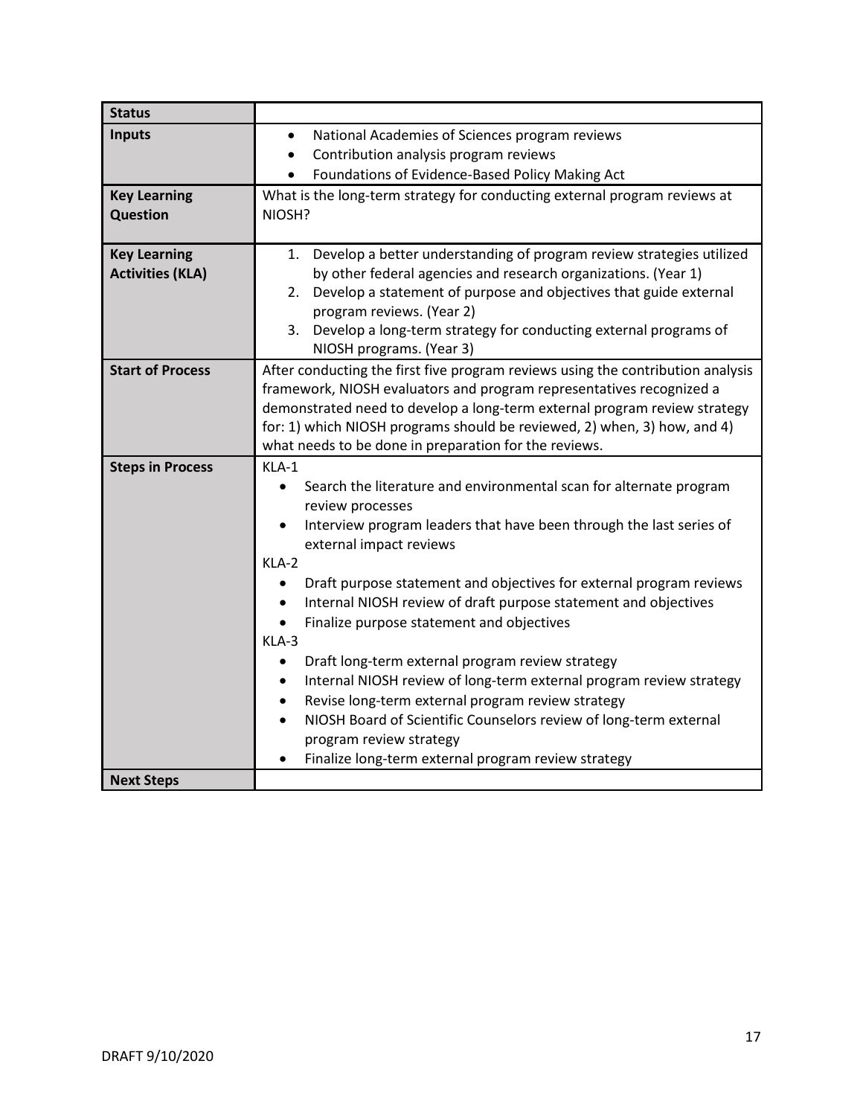| <b>Status</b>           |                                                                                                             |
|-------------------------|-------------------------------------------------------------------------------------------------------------|
| <b>Inputs</b>           | National Academies of Sciences program reviews<br>$\bullet$                                                 |
|                         | Contribution analysis program reviews<br>$\bullet$                                                          |
|                         | Foundations of Evidence-Based Policy Making Act                                                             |
| <b>Key Learning</b>     | What is the long-term strategy for conducting external program reviews at                                   |
| <b>Question</b>         | NIOSH?                                                                                                      |
| <b>Key Learning</b>     | 1. Develop a better understanding of program review strategies utilized                                     |
| <b>Activities (KLA)</b> | by other federal agencies and research organizations. (Year 1)                                              |
|                         | Develop a statement of purpose and objectives that guide external<br>2.<br>program reviews. (Year 2)        |
|                         | 3. Develop a long-term strategy for conducting external programs of                                         |
|                         | NIOSH programs. (Year 3)                                                                                    |
| <b>Start of Process</b> | After conducting the first five program reviews using the contribution analysis                             |
|                         | framework, NIOSH evaluators and program representatives recognized a                                        |
|                         | demonstrated need to develop a long-term external program review strategy                                   |
|                         | for: 1) which NIOSH programs should be reviewed, 2) when, 3) how, and 4)                                    |
|                         | what needs to be done in preparation for the reviews.                                                       |
| <b>Steps in Process</b> | KLA-1                                                                                                       |
|                         | Search the literature and environmental scan for alternate program<br>$\bullet$                             |
|                         | review processes                                                                                            |
|                         | Interview program leaders that have been through the last series of<br>$\bullet$<br>external impact reviews |
|                         | KLA-2                                                                                                       |
|                         | Draft purpose statement and objectives for external program reviews                                         |
|                         | Internal NIOSH review of draft purpose statement and objectives<br>$\bullet$                                |
|                         | Finalize purpose statement and objectives<br>$\bullet$                                                      |
|                         | KLA-3                                                                                                       |
|                         | Draft long-term external program review strategy<br>$\bullet$                                               |
|                         | Internal NIOSH review of long-term external program review strategy                                         |
|                         | Revise long-term external program review strategy                                                           |
|                         | NIOSH Board of Scientific Counselors review of long-term external                                           |
|                         | program review strategy                                                                                     |
|                         | Finalize long-term external program review strategy<br>$\bullet$                                            |
| <b>Next Steps</b>       |                                                                                                             |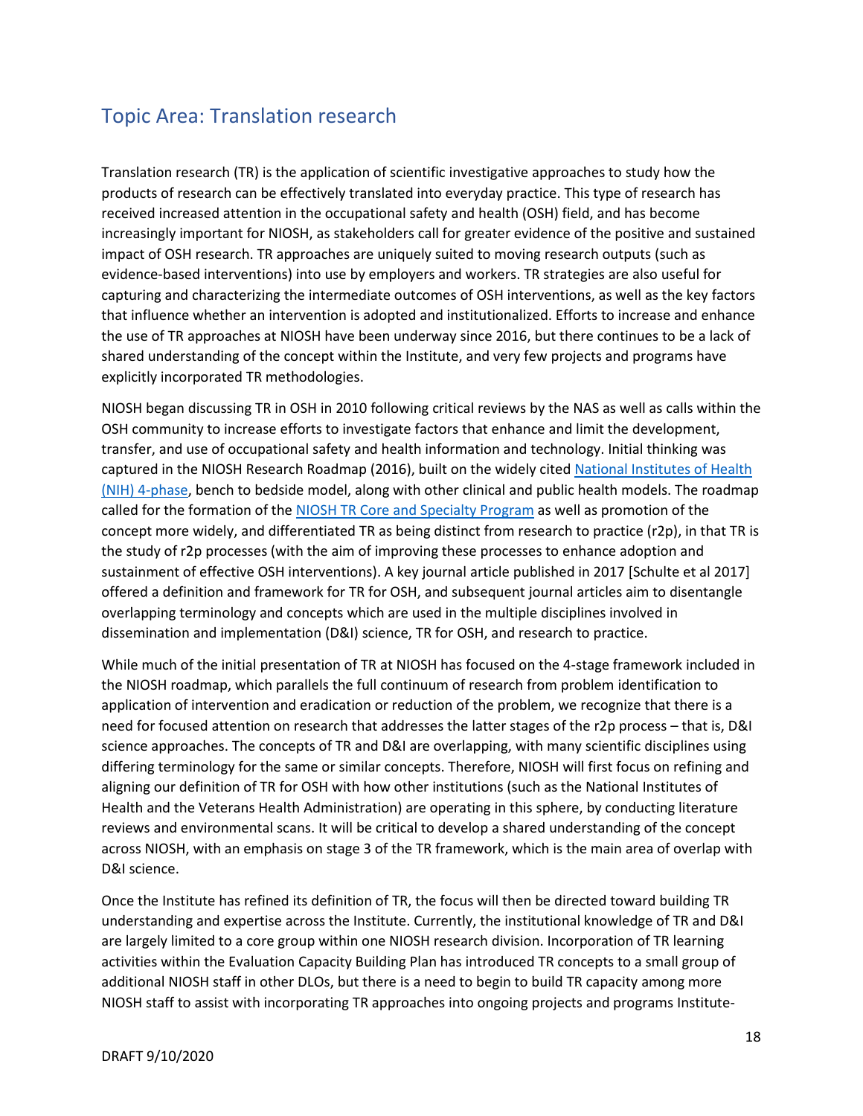## <span id="page-18-0"></span>Topic Area: Translation research

Translation research (TR) is the application of scientific investigative approaches to study how the products of research can be effectively translated into everyday practice. This type of research has received increased attention in the occupational safety and health (OSH) field, and has become increasingly important for NIOSH, as stakeholders call for greater evidence of the positive and sustained impact of OSH research. TR approaches are uniquely suited to moving research outputs (such as evidence-based interventions) into use by employers and workers. TR strategies are also useful for capturing and characterizing the intermediate outcomes of OSH interventions, as well as the key factors that influence whether an intervention is adopted and institutionalized. Efforts to increase and enhance the use of TR approaches at NIOSH have been underway since 2016, but there continues to be a lack of shared understanding of the concept within the Institute, and very few projects and programs have explicitly incorporated TR methodologies.

NIOSH began discussing TR in OSH in 2010 following critical reviews by the NAS as well as calls within the OSH community to increase efforts to investigate factors that enhance and limit the development, transfer, and use of occupational safety and health information and technology. Initial thinking was captured in the NIOSH Research Roadmap (2016), built on the widely cite[d National Institutes of Health](https://www.nia.nih.gov/research/dbsr/nih-stage-model-behavioral-intervention-development)  [\(NIH\) 4-phase,](https://www.nia.nih.gov/research/dbsr/nih-stage-model-behavioral-intervention-development) bench to bedside model, along with other clinical and public health models. The roadmap called for the formation of the [NIOSH TR Core and Specialty Program](https://www.cdc.gov/niosh/topics/translationresearch/) as well as promotion of the concept more widely, and differentiated TR as being distinct from research to practice (r2p), in that TR is the study of r2p processes (with the aim of improving these processes to enhance adoption and sustainment of effective OSH interventions). A key journal article published in 2017 [Schulte et al 2017] offered a definition and framework for TR for OSH, and subsequent journal articles aim to disentangle overlapping terminology and concepts which are used in the multiple disciplines involved in dissemination and implementation (D&I) science, TR for OSH, and research to practice.

While much of the initial presentation of TR at NIOSH has focused on the 4-stage framework included in the NIOSH roadmap, which parallels the full continuum of research from problem identification to application of intervention and eradication or reduction of the problem, we recognize that there is a need for focused attention on research that addresses the latter stages of the r2p process – that is, D&I science approaches. The concepts of TR and D&I are overlapping, with many scientific disciplines using differing terminology for the same or similar concepts. Therefore, NIOSH will first focus on refining and aligning our definition of TR for OSH with how other institutions (such as the National Institutes of Health and the Veterans Health Administration) are operating in this sphere, by conducting literature reviews and environmental scans. It will be critical to develop a shared understanding of the concept across NIOSH, with an emphasis on stage 3 of the TR framework, which is the main area of overlap with D&I science.

Once the Institute has refined its definition of TR, the focus will then be directed toward building TR understanding and expertise across the Institute. Currently, the institutional knowledge of TR and D&I are largely limited to a core group within one NIOSH research division. Incorporation of TR learning activities within the Evaluation Capacity Building Plan has introduced TR concepts to a small group of additional NIOSH staff in other DLOs, but there is a need to begin to build TR capacity among more NIOSH staff to assist with incorporating TR approaches into ongoing projects and programs Institute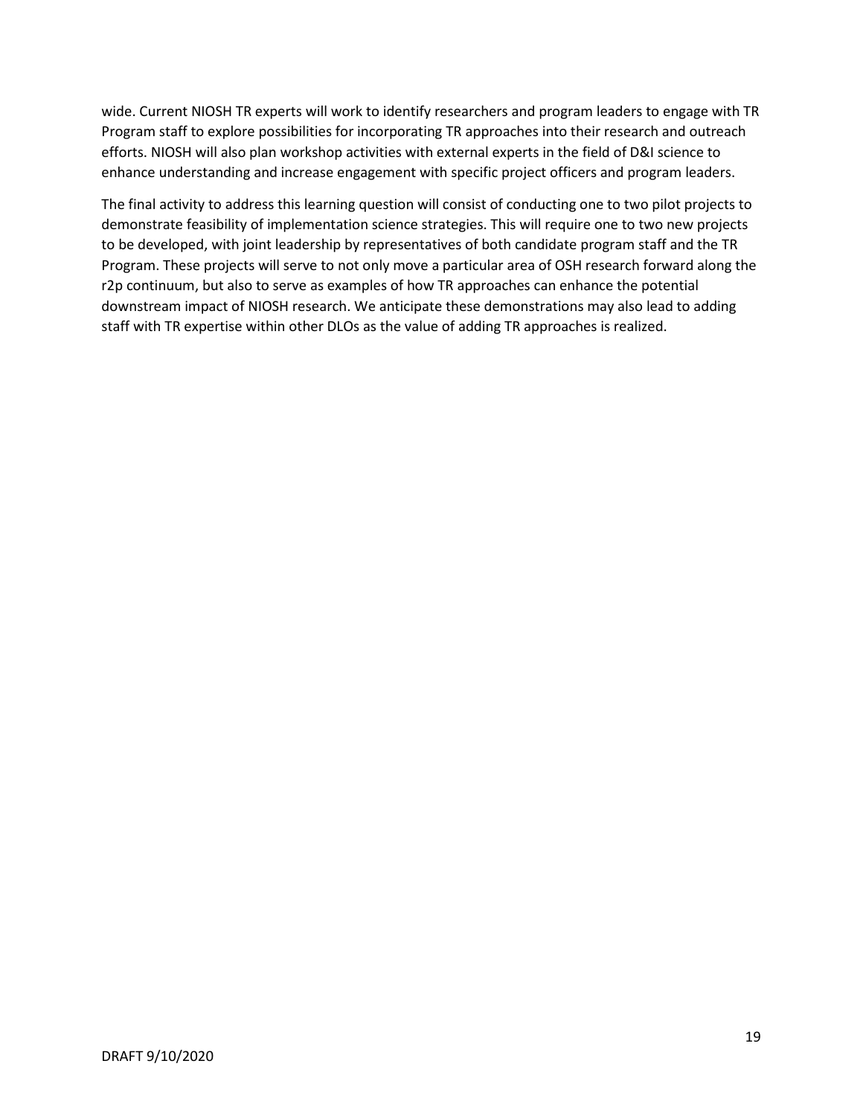wide. Current NIOSH TR experts will work to identify researchers and program leaders to engage with TR Program staff to explore possibilities for incorporating TR approaches into their research and outreach efforts. NIOSH will also plan workshop activities with external experts in the field of D&I science to enhance understanding and increase engagement with specific project officers and program leaders.

The final activity to address this learning question will consist of conducting one to two pilot projects to demonstrate feasibility of implementation science strategies. This will require one to two new projects to be developed, with joint leadership by representatives of both candidate program staff and the TR Program. These projects will serve to not only move a particular area of OSH research forward along the r2p continuum, but also to serve as examples of how TR approaches can enhance the potential downstream impact of NIOSH research. We anticipate these demonstrations may also lead to adding staff with TR expertise within other DLOs as the value of adding TR approaches is realized.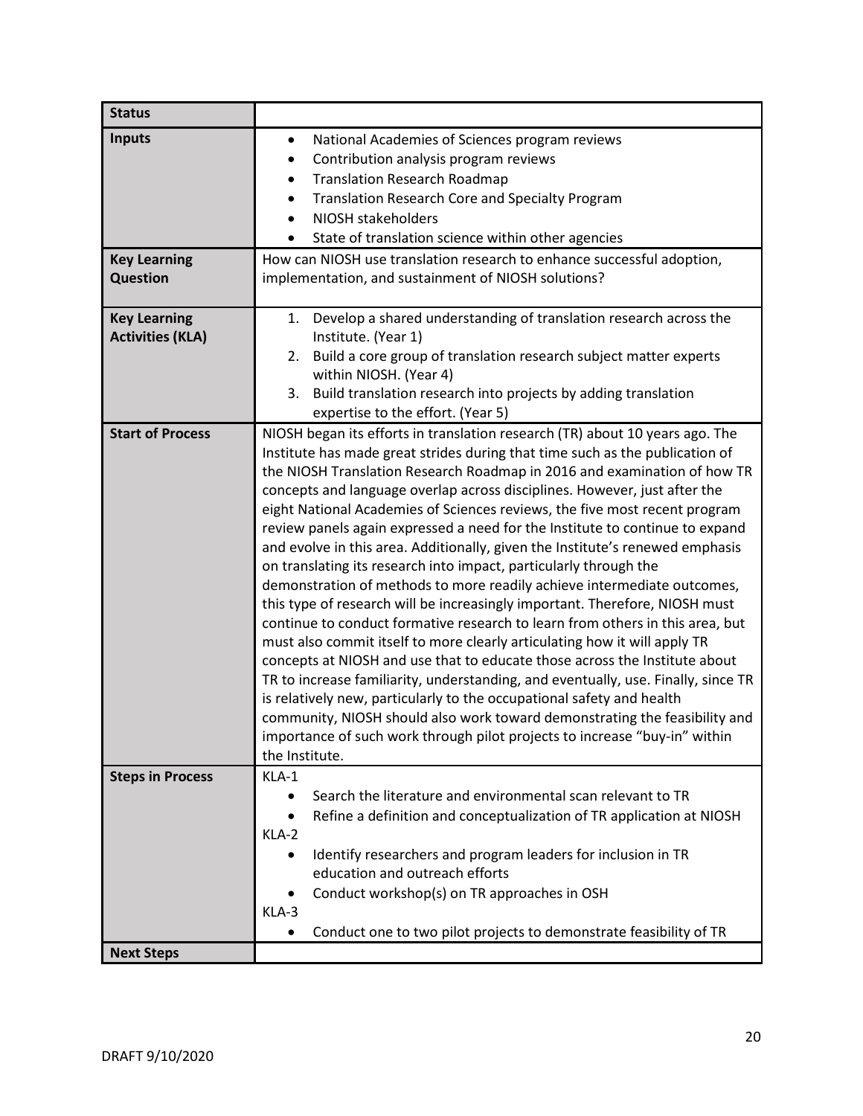| <b>Status</b>                                           |                                                                                                                                                                                                                                                                                                                                                                                                                                                                                                                                                                                                                                                                                                                                                                                                                                                                                                                                                                                                                                                                                                                                                                                                                                                                                                                                                                                             |
|---------------------------------------------------------|---------------------------------------------------------------------------------------------------------------------------------------------------------------------------------------------------------------------------------------------------------------------------------------------------------------------------------------------------------------------------------------------------------------------------------------------------------------------------------------------------------------------------------------------------------------------------------------------------------------------------------------------------------------------------------------------------------------------------------------------------------------------------------------------------------------------------------------------------------------------------------------------------------------------------------------------------------------------------------------------------------------------------------------------------------------------------------------------------------------------------------------------------------------------------------------------------------------------------------------------------------------------------------------------------------------------------------------------------------------------------------------------|
| <b>Inputs</b><br><b>Key Learning</b><br><b>Question</b> | National Academies of Sciences program reviews<br>$\bullet$<br>Contribution analysis program reviews<br><b>Translation Research Roadmap</b><br><b>Translation Research Core and Specialty Program</b><br>NIOSH stakeholders<br>State of translation science within other agencies<br>How can NIOSH use translation research to enhance successful adoption,<br>implementation, and sustainment of NIOSH solutions?                                                                                                                                                                                                                                                                                                                                                                                                                                                                                                                                                                                                                                                                                                                                                                                                                                                                                                                                                                          |
| <b>Key Learning</b><br><b>Activities (KLA)</b>          | 1. Develop a shared understanding of translation research across the<br>Institute. (Year 1)<br>Build a core group of translation research subject matter experts<br>2.<br>within NIOSH. (Year 4)<br>Build translation research into projects by adding translation<br>3.<br>expertise to the effort. (Year 5)                                                                                                                                                                                                                                                                                                                                                                                                                                                                                                                                                                                                                                                                                                                                                                                                                                                                                                                                                                                                                                                                               |
| <b>Start of Process</b>                                 | NIOSH began its efforts in translation research (TR) about 10 years ago. The<br>Institute has made great strides during that time such as the publication of<br>the NIOSH Translation Research Roadmap in 2016 and examination of how TR<br>concepts and language overlap across disciplines. However, just after the<br>eight National Academies of Sciences reviews, the five most recent program<br>review panels again expressed a need for the Institute to continue to expand<br>and evolve in this area. Additionally, given the Institute's renewed emphasis<br>on translating its research into impact, particularly through the<br>demonstration of methods to more readily achieve intermediate outcomes,<br>this type of research will be increasingly important. Therefore, NIOSH must<br>continue to conduct formative research to learn from others in this area, but<br>must also commit itself to more clearly articulating how it will apply TR<br>concepts at NIOSH and use that to educate those across the Institute about<br>TR to increase familiarity, understanding, and eventually, use. Finally, since TR<br>is relatively new, particularly to the occupational safety and health<br>community, NIOSH should also work toward demonstrating the feasibility and<br>importance of such work through pilot projects to increase "buy-in" within<br>the Institute. |
| <b>Steps in Process</b>                                 | KLA-1<br>Search the literature and environmental scan relevant to TR<br>Refine a definition and conceptualization of TR application at NIOSH<br>KLA-2<br>Identify researchers and program leaders for inclusion in TR<br>$\bullet$<br>education and outreach efforts<br>Conduct workshop(s) on TR approaches in OSH<br>KLA-3<br>Conduct one to two pilot projects to demonstrate feasibility of TR                                                                                                                                                                                                                                                                                                                                                                                                                                                                                                                                                                                                                                                                                                                                                                                                                                                                                                                                                                                          |
| <b>Next Steps</b>                                       |                                                                                                                                                                                                                                                                                                                                                                                                                                                                                                                                                                                                                                                                                                                                                                                                                                                                                                                                                                                                                                                                                                                                                                                                                                                                                                                                                                                             |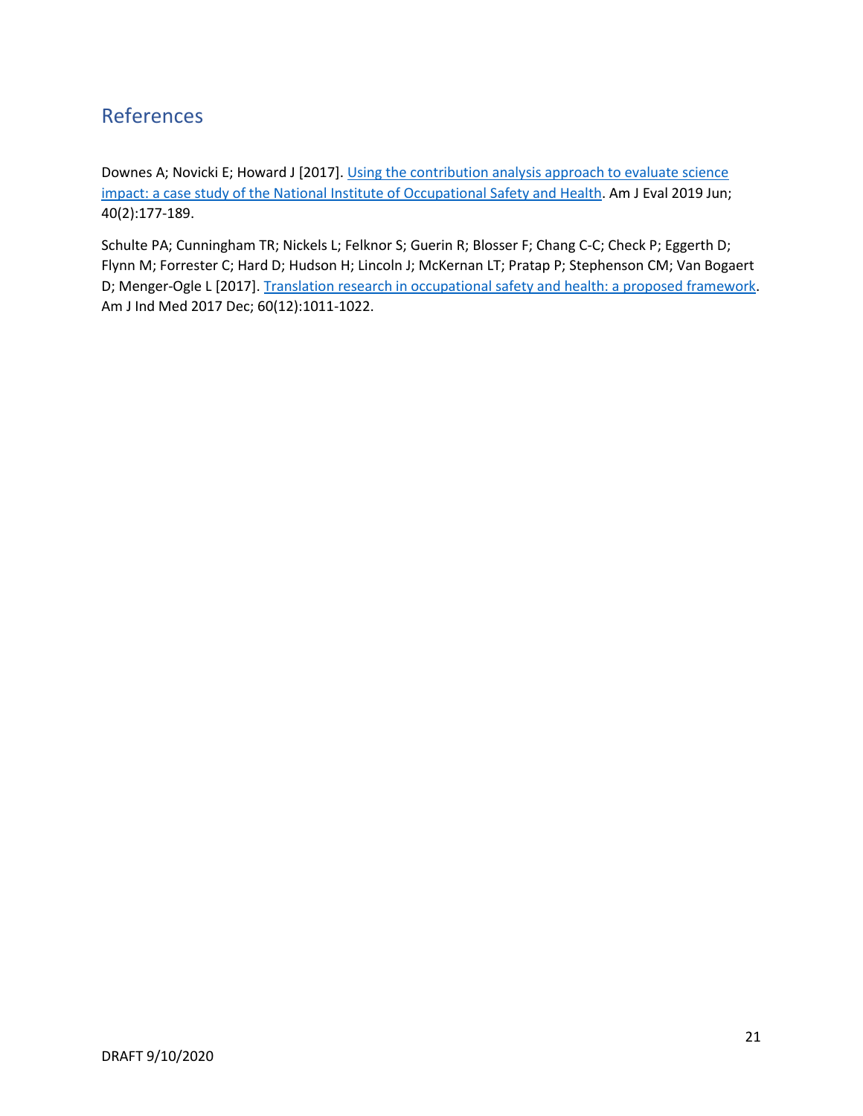## <span id="page-21-0"></span>References

Downes A; Novicki E; Howard J [2017]. Using the contribution analysis approach to evaluate science [impact: a case study of the National Institute of Occupational Safety and Health.](https://www2a.cdc.gov/nioshtic-2/BuildQyr.asp?s1=Downes&f1=AU&Startyear=&terms=3&Adv=1&ct=&B1=Search&Limit=500&Sort=DP+DESC&whichdate=DP&D1=10&EndYear=&PageNo=1&RecNo=1&View=f&) Am J Eval 2019 Jun; 40(2):177-189.

Schulte PA; Cunningham TR; Nickels L; Felknor S; Guerin R; Blosser F; Chang C-C; Check P; Eggerth D; Flynn M; Forrester C; Hard D; Hudson H; Lincoln J; McKernan LT; Pratap P; Stephenson CM; Van Bogaert D; Menger-Ogle L [2017]. [Translation research in occupational safety and health: a proposed framework.](https://www2a.cdc.gov/nioshtic-2/BuildQyr.asp?s1=20050492+&f1=%2a&Startyear=&Adv=0&terms=1&D1=10&EndYear=&Limit=10000&sort=&PageNo=1&RecNo=1&View=f&) Am J Ind Med 2017 Dec; 60(12):1011-1022.